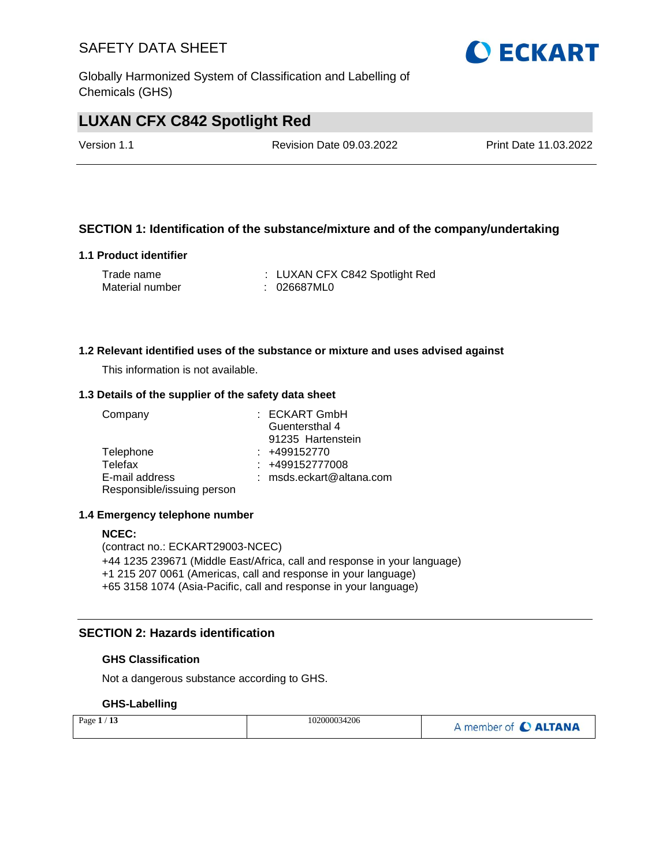Globally Harmonized System of Classification and Labelling of Chemicals (GHS)

# **LUXAN CFX C842 Spotlight Red**

Version 1.1 Revision Date 09.03.2022 Print Date 11.03.2022

#### **SECTION 1: Identification of the substance/mixture and of the company/undertaking**

#### **1.1 Product identifier**

| Trade name      | : LUXAN CFX C842 Spotlight Red |
|-----------------|--------------------------------|
| Material number | : 026687ML0                    |

#### **1.2 Relevant identified uses of the substance or mixture and uses advised against**

This information is not available.

#### **1.3 Details of the supplier of the safety data sheet**

| Company                    | $:$ ECKART GmbH            |
|----------------------------|----------------------------|
|                            | Guentersthal 4             |
|                            | 91235 Hartenstein          |
| Telephone                  | $: +499152770$             |
| Telefax                    | $: +499152777008$          |
| E-mail address             | $:$ msds.eckart@altana.com |
| Responsible/issuing person |                            |

#### **1.4 Emergency telephone number**

#### **NCEC:**

(contract no.: ECKART29003-NCEC) +44 1235 239671 (Middle East/Africa, call and response in your language) +1 215 207 0061 (Americas, call and response in your language) +65 3158 1074 (Asia-Pacific, call and response in your language)

#### **SECTION 2: Hazards identification**

#### **GHS Classification**

Not a dangerous substance according to GHS.

#### **GHS-Labelling**

| Page $1/13$ | 102000034206 | A member of C ALTANA |
|-------------|--------------|----------------------|
|-------------|--------------|----------------------|

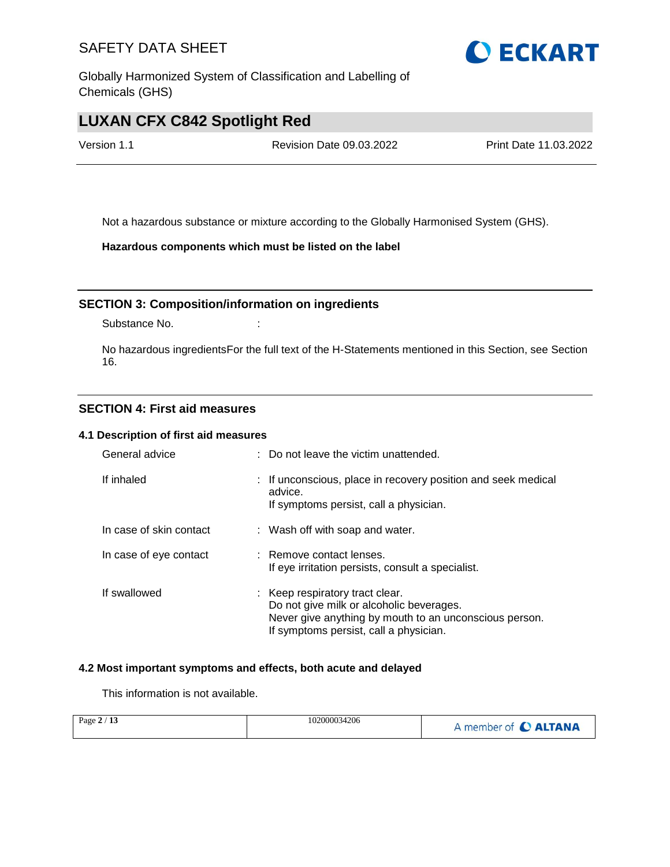Globally Harmonized System of Classification and Labelling of Chemicals (GHS)

# **LUXAN CFX C842 Spotlight Red**

Version 1.1 Revision Date 09.03.2022 Print Date 11.03.2022

Not a hazardous substance or mixture according to the Globally Harmonised System (GHS).

**Hazardous components which must be listed on the label**

#### **SECTION 3: Composition/information on ingredients**

Substance No. **:** :

No hazardous ingredientsFor the full text of the H-Statements mentioned in this Section, see Section 16.

#### **SECTION 4: First aid measures**

#### **4.1 Description of first aid measures**

| General advice          | : Do not leave the victim unattended.                                                                                                                                           |
|-------------------------|---------------------------------------------------------------------------------------------------------------------------------------------------------------------------------|
| If inhaled              | : If unconscious, place in recovery position and seek medical<br>advice.<br>If symptoms persist, call a physician.                                                              |
| In case of skin contact | : Wash off with soap and water.                                                                                                                                                 |
| In case of eye contact  | : Remove contact lenses.<br>If eye irritation persists, consult a specialist.                                                                                                   |
| If swallowed            | : Keep respiratory tract clear.<br>Do not give milk or alcoholic beverages.<br>Never give anything by mouth to an unconscious person.<br>If symptoms persist, call a physician. |

#### **4.2 Most important symptoms and effects, both acute and delayed**

This information is not available.

| Page $2/13$ | 102000034206 | A member of C ALTANA |
|-------------|--------------|----------------------|
|-------------|--------------|----------------------|

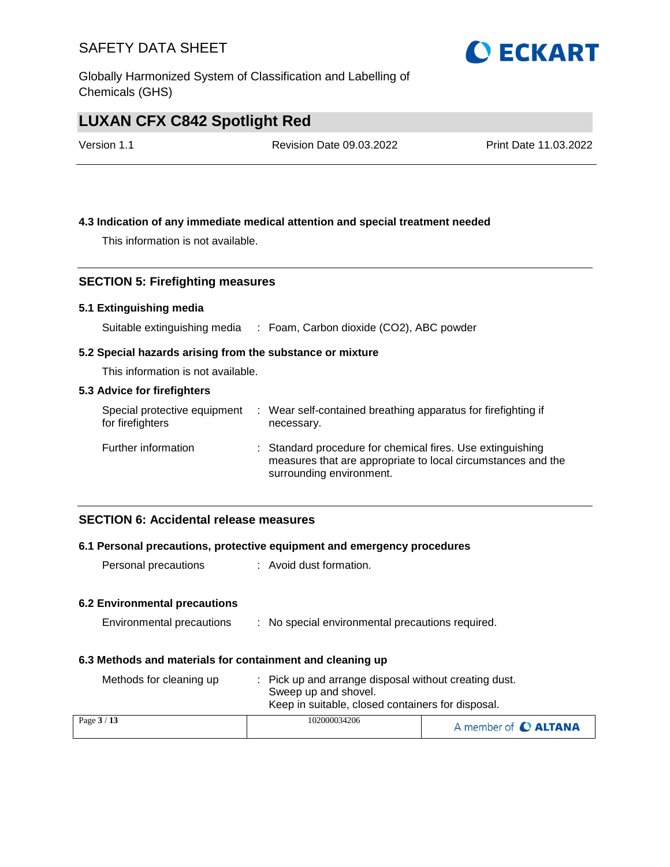Globally Harmonized System of Classification and Labelling of Chemicals (GHS)

# **LUXAN CFX C842 Spotlight Red**

Version 1.1 Revision Date 09.03.2022 Print Date 11.03.2022

#### **4.3 Indication of any immediate medical attention and special treatment needed**

This information is not available.

#### **SECTION 5: Firefighting measures**

#### **5.1 Extinguishing media**

Suitable extinguishing media : Foam, Carbon dioxide (CO2), ABC powder

#### **5.2 Special hazards arising from the substance or mixture**

This information is not available.

#### **5.3 Advice for firefighters**

| Special protective equipment<br>for firefighters | : Wear self-contained breathing apparatus for firefighting if<br>necessary.                                                                            |
|--------------------------------------------------|--------------------------------------------------------------------------------------------------------------------------------------------------------|
| Further information                              | : Standard procedure for chemical fires. Use extinguishing<br>measures that are appropriate to local circumstances and the<br>surrounding environment. |

#### **SECTION 6: Accidental release measures**

#### **6.1 Personal precautions, protective equipment and emergency procedures**

Personal precautions : Avoid dust formation.

#### **6.2 Environmental precautions**

| Environmental precautions |  |  | No special environmental precautions required. |  |  |
|---------------------------|--|--|------------------------------------------------|--|--|
|---------------------------|--|--|------------------------------------------------|--|--|

#### **6.3 Methods and materials for containment and cleaning up**

| Methods for cleaning up | : Pick up and arrange disposal without creating dust.<br>Sweep up and shovel.<br>Keep in suitable, closed containers for disposal. |                      |
|-------------------------|------------------------------------------------------------------------------------------------------------------------------------|----------------------|
| Page $3/13$             | 102000034206                                                                                                                       | A member of C ALTANA |

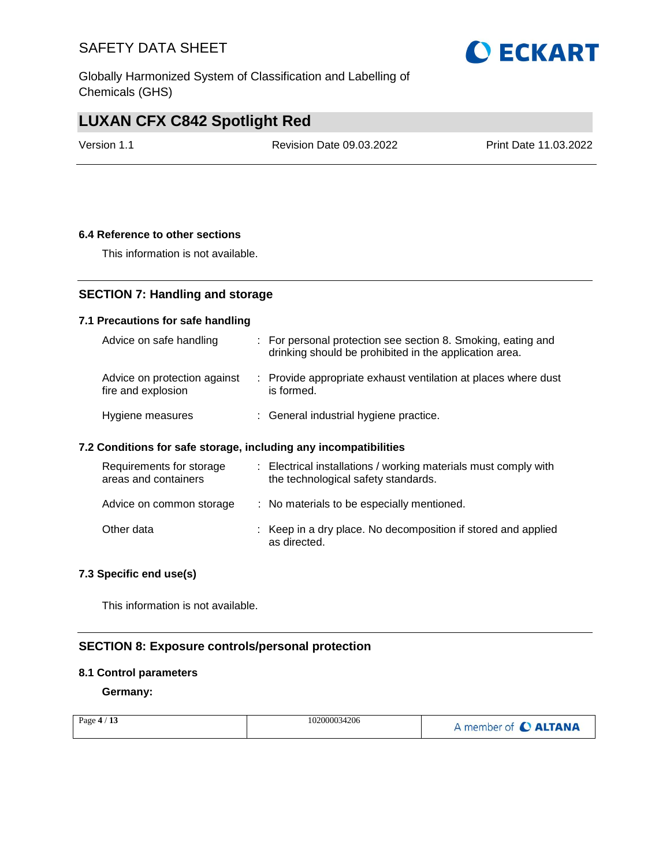Globally Harmonized System of Classification and Labelling of Chemicals (GHS)

# **LUXAN CFX C842 Spotlight Red**

Version 1.1 Revision Date 09.03.2022 Print Date 11.03.2022

#### **6.4 Reference to other sections**

This information is not available.

### **SECTION 7: Handling and storage**

#### **7.1 Precautions for safe handling**

| Advice on safe handling                            | : For personal protection see section 8. Smoking, eating and<br>drinking should be prohibited in the application area. |
|----------------------------------------------------|------------------------------------------------------------------------------------------------------------------------|
| Advice on protection against<br>fire and explosion | : Provide appropriate exhaust ventilation at places where dust<br>is formed.                                           |
| Hygiene measures                                   | : General industrial hygiene practice.                                                                                 |

#### **7.2 Conditions for safe storage, including any incompatibilities**

| Requirements for storage<br>areas and containers | : Electrical installations / working materials must comply with<br>the technological safety standards. |
|--------------------------------------------------|--------------------------------------------------------------------------------------------------------|
| Advice on common storage                         | : No materials to be especially mentioned.                                                             |
| Other data                                       | : Keep in a dry place. No decomposition if stored and applied<br>as directed.                          |

#### **7.3 Specific end use(s)**

This information is not available.

### **SECTION 8: Exposure controls/personal protection**

#### **8.1 Control parameters**

**Germany:**

| 102000034206<br>Page $4/13$ | A member of C ALTANA |
|-----------------------------|----------------------|
|-----------------------------|----------------------|

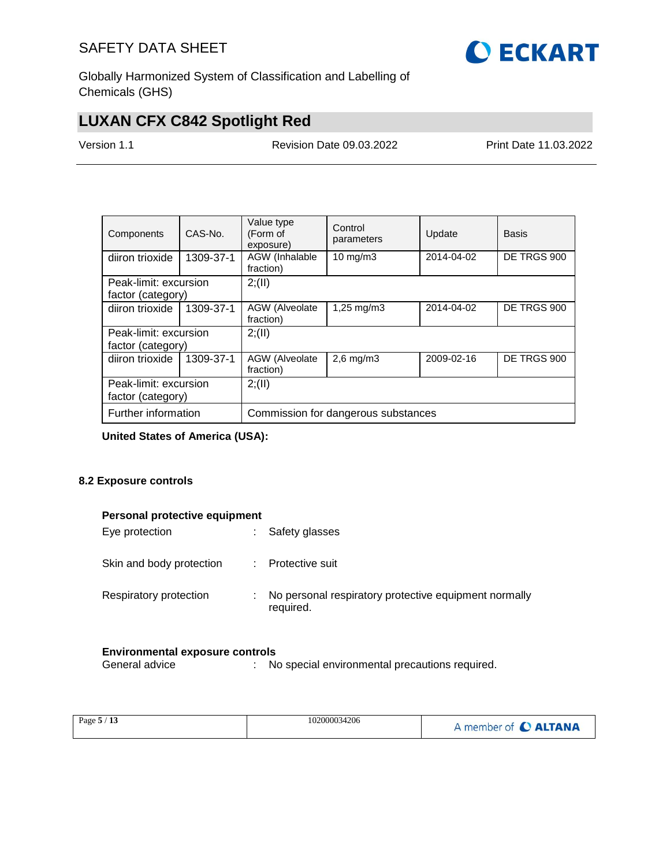

Globally Harmonized System of Classification and Labelling of Chemicals (GHS)

# **LUXAN CFX C842 Spotlight Red**

Version 1.1 Revision Date 09.03.2022 Print Date 11.03.2022

| Components            | CAS-No.   | Value type<br>(Form of<br>exposure) | Control<br>parameters   | Update     | Basis       |  |  |  |
|-----------------------|-----------|-------------------------------------|-------------------------|------------|-------------|--|--|--|
| diiron trioxide       | 1309-37-1 | AGW (Inhalable<br>fraction)         | $10 \text{ mg/m}$       | 2014-04-02 | DE TRGS 900 |  |  |  |
| Peak-limit: excursion |           | 2; (II)                             |                         |            |             |  |  |  |
| factor (category)     |           |                                     |                         |            |             |  |  |  |
| diiron trioxide       | 1309-37-1 | AGW (Alveolate<br>fraction)         | $1,25 \,\mathrm{mq/m3}$ | 2014-04-02 | DE TRGS 900 |  |  |  |
| Peak-limit: excursion |           | 2; (II)                             |                         |            |             |  |  |  |
| factor (category)     |           |                                     |                         |            |             |  |  |  |
| diiron trioxide       | 1309-37-1 | AGW (Alveolate<br>fraction)         | $2,6$ mg/m $3$          | 2009-02-16 | DE TRGS 900 |  |  |  |
| Peak-limit: excursion |           | 2; (II)                             |                         |            |             |  |  |  |
| factor (category)     |           |                                     |                         |            |             |  |  |  |
| Further information   |           | Commission for dangerous substances |                         |            |             |  |  |  |

**United States of America (USA):**

#### **8.2 Exposure controls**

|  |  | Personal protective equipment |
|--|--|-------------------------------|
|--|--|-------------------------------|

| Eye protection           | Safety glasses                                                     |
|--------------------------|--------------------------------------------------------------------|
| Skin and body protection | Protective suit                                                    |
| Respiratory protection   | No personal respiratory protective equipment normally<br>required. |

# **Environmental exposure controls**<br>General advice : Ne

: No special environmental precautions required.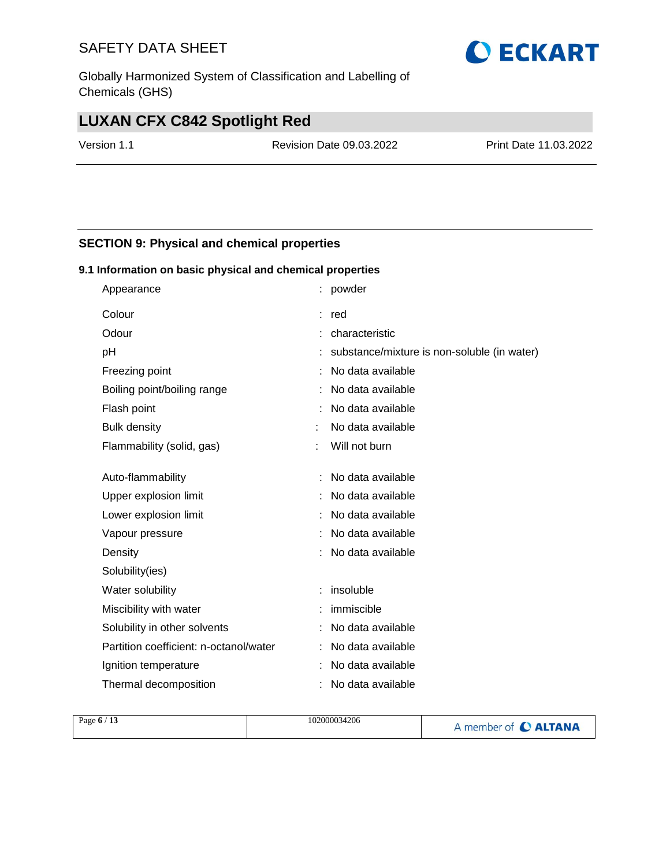Globally Harmonized System of Classification and Labelling of Chemicals (GHS)

# **LUXAN CFX C842 Spotlight Red**

Version 1.1 Revision Date 09.03.2022 Print Date 11.03.2022

#### **SECTION 9: Physical and chemical properties**

#### **9.1 Information on basic physical and chemical properties**

| Appearance                             |       | : powder                                    |
|----------------------------------------|-------|---------------------------------------------|
| Colour                                 | : red |                                             |
| Odour                                  |       | : characteristic                            |
| pH                                     |       | substance/mixture is non-soluble (in water) |
| Freezing point                         |       | No data available                           |
| Boiling point/boiling range            |       | No data available                           |
| Flash point                            |       | No data available                           |
| <b>Bulk density</b>                    |       | No data available                           |
| Flammability (solid, gas)              |       | Will not burn                               |
|                                        |       |                                             |
| Auto-flammability                      |       | No data available                           |
| Upper explosion limit                  |       | No data available                           |
| Lower explosion limit                  |       | No data available                           |
| Vapour pressure                        |       | No data available                           |
| Density                                |       | No data available                           |
| Solubility(ies)                        |       |                                             |
| Water solubility                       |       | insoluble                                   |
| Miscibility with water                 |       | immiscible                                  |
| Solubility in other solvents           |       | No data available                           |
| Partition coefficient: n-octanol/water |       | No data available                           |
| Ignition temperature                   |       | No data available                           |
| Thermal decomposition                  |       | No data available                           |

| Page $6/13$ | 102000034206 | A member of C ALTANA |
|-------------|--------------|----------------------|
|             |              |                      |

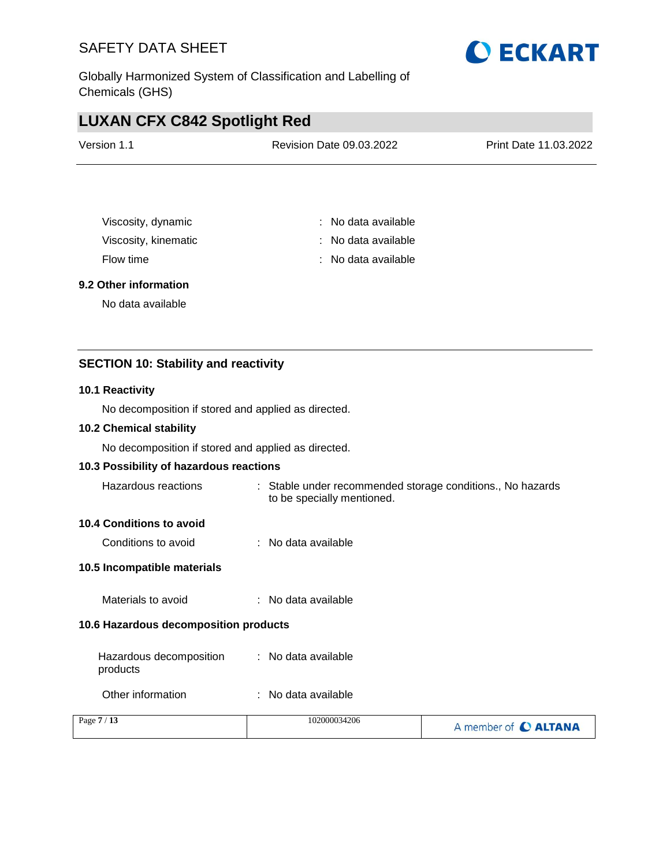Globally Harmonized System of Classification and Labelling of Chemicals (GHS)

# **LUXAN CFX C842 Spotlight Red**

| Version 1.1 | <b>Revision Date 09.03.2022</b> | Print Date 11.03.2022 |
|-------------|---------------------------------|-----------------------|
|             |                                 |                       |

| Viscosity, dynamic   | : No data available |
|----------------------|---------------------|
| Viscosity, kinematic | : No data available |
| Flow time            | : No data available |

#### **9.2 Other information**

No data available

#### **SECTION 10: Stability and reactivity**

#### **10.1 Reactivity**

No decomposition if stored and applied as directed.

#### **10.2 Chemical stability**

No decomposition if stored and applied as directed.

#### **10.3 Possibility of hazardous reactions**

| Hazardous reactions | Stable under recommended storage conditions., No hazards |
|---------------------|----------------------------------------------------------|
|                     | to be specially mentioned.                               |

#### **10.4 Conditions to avoid**

Conditions to avoid : No data available

#### **10.5 Incompatible materials**

Materials to avoid : No data available

#### **10.6 Hazardous decomposition products**

| Hazardous decomposition | : No data available |
|-------------------------|---------------------|
| products                |                     |

Other information : No data available

| Page $7/13$ | 102000034206 | A member of C ALTANA |
|-------------|--------------|----------------------|
|             |              |                      |

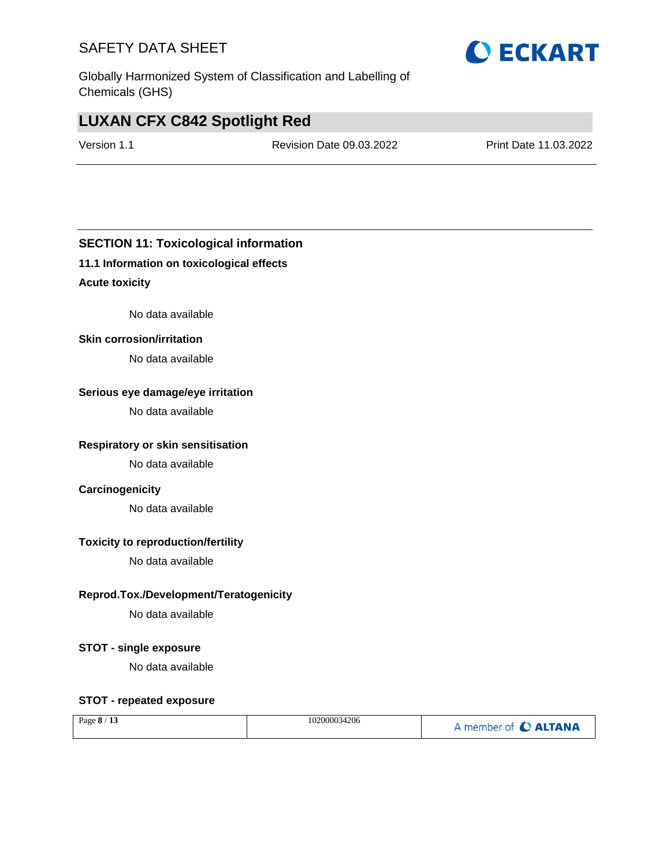Globally Harmonized System of Classification and Labelling of Chemicals (GHS)

# **LUXAN CFX C842 Spotlight Red**

Version 1.1 Revision Date 09.03.2022 Print Date 11.03.2022

#### **SECTION 11: Toxicological information**

#### **11.1 Information on toxicological effects**

#### **Acute toxicity**

No data available

#### **Skin corrosion/irritation**

No data available

#### **Serious eye damage/eye irritation**

No data available

#### **Respiratory or skin sensitisation**

No data available

#### **Carcinogenicity**

No data available

#### **Toxicity to reproduction/fertility**

No data available

#### **Reprod.Tox./Development/Teratogenicity**

No data available

#### **STOT - single exposure**

No data available

#### **STOT - repeated exposure**

| Page $8/13$ | 102000034206 | A member of C ALTANA |
|-------------|--------------|----------------------|
|-------------|--------------|----------------------|

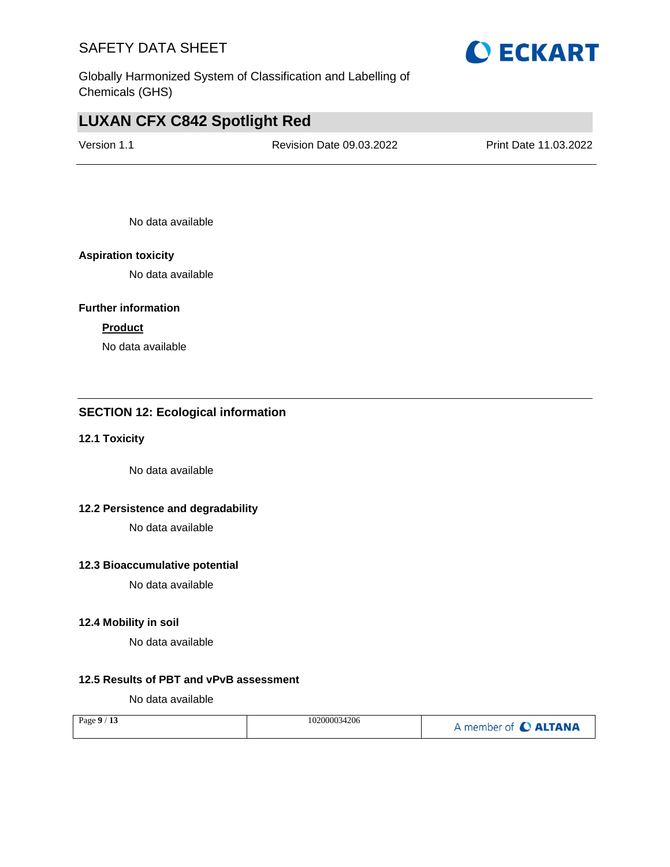

# **LUXAN CFX C842 Spotlight Red**

Version 1.1 Revision Date 09.03.2022 Print Date 11.03.2022

No data available

#### **Aspiration toxicity**

No data available

#### **Further information**

#### **Product**

No data available

#### **SECTION 12: Ecological information**

#### **12.1 Toxicity**

No data available

#### **12.2 Persistence and degradability**

No data available

#### **12.3 Bioaccumulative potential**

No data available

#### **12.4 Mobility in soil**

No data available

#### **12.5 Results of PBT and vPvB assessment**

No data available

| Page $9/13$ | 102000034206 | A member of C ALTANA |
|-------------|--------------|----------------------|
|-------------|--------------|----------------------|

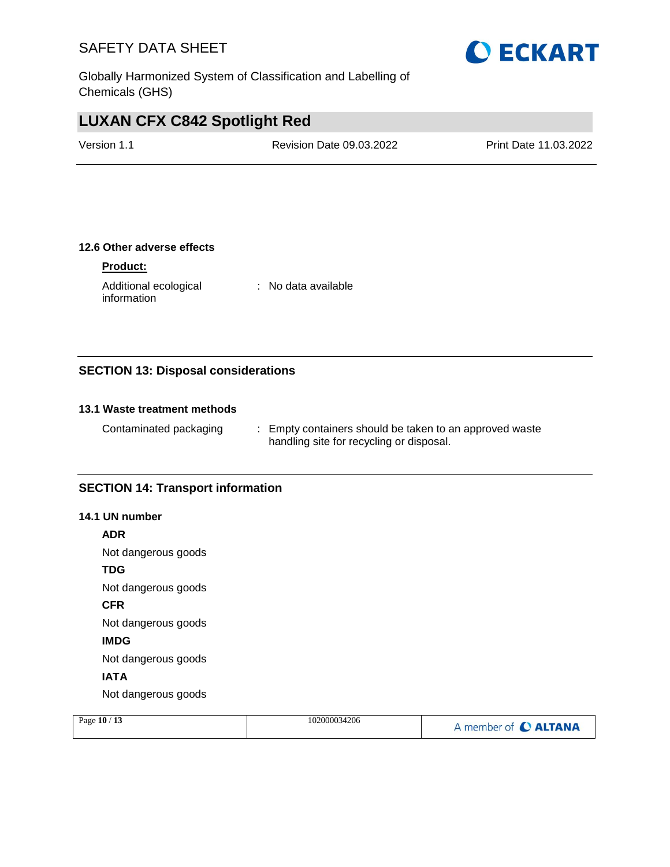Globally Harmonized System of Classification and Labelling of Chemicals (GHS)

# **LUXAN CFX C842 Spotlight Red**

Version 1.1 Revision Date 09.03.2022 Print Date 11.03.2022

#### **12.6 Other adverse effects**

#### **Product:**

Additional ecological information

: No data available

#### **SECTION 13: Disposal considerations**

#### **13.1 Waste treatment methods**

Contaminated packaging : Empty containers should be taken to an approved waste handling site for recycling or disposal.

#### **SECTION 14: Transport information**

#### **14.1 UN number**

**ADR**

Not dangerous goods

**TDG**

Not dangerous goods

**CFR**

Not dangerous goods

**IMDG**

Not dangerous goods

#### **IATA**

Not dangerous goods

| 102000034206<br>Page $10/13$<br>A member of C ALTANA |  |
|------------------------------------------------------|--|
|------------------------------------------------------|--|

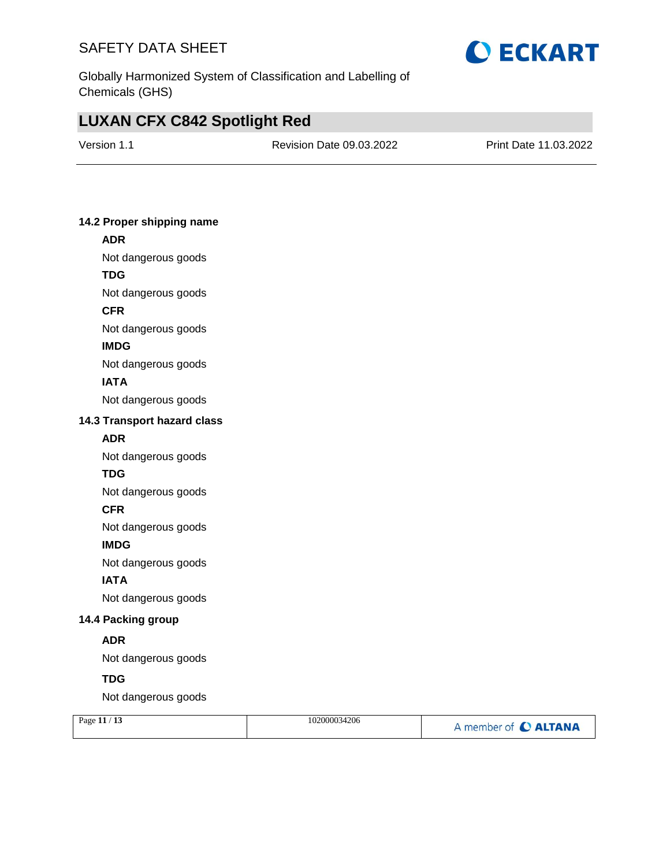

Globally Harmonized System of Classification and Labelling of Chemicals (GHS)

# **LUXAN CFX C842 Spotlight Red**

Version 1.1 Revision Date 09.03.2022 Print Date 11.03.2022

#### **14.2 Proper shipping name**

### **ADR** Not dangerous goods **TDG**

Not dangerous goods

**CFR**

Not dangerous goods

**IMDG**

Not dangerous goods

#### **IATA**

Not dangerous goods

#### **14.3 Transport hazard class**

#### **ADR**

Not dangerous goods

#### **TDG**

Not dangerous goods

#### **CFR**

Not dangerous goods

#### **IMDG**

Not dangerous goods

#### **IATA**

Not dangerous goods

#### **14.4 Packing group**

#### **ADR**

Not dangerous goods

#### **TDG**

Not dangerous goods

| Page $11/13$ | 102000034206 | A member of C ALTANA |
|--------------|--------------|----------------------|
|              |              |                      |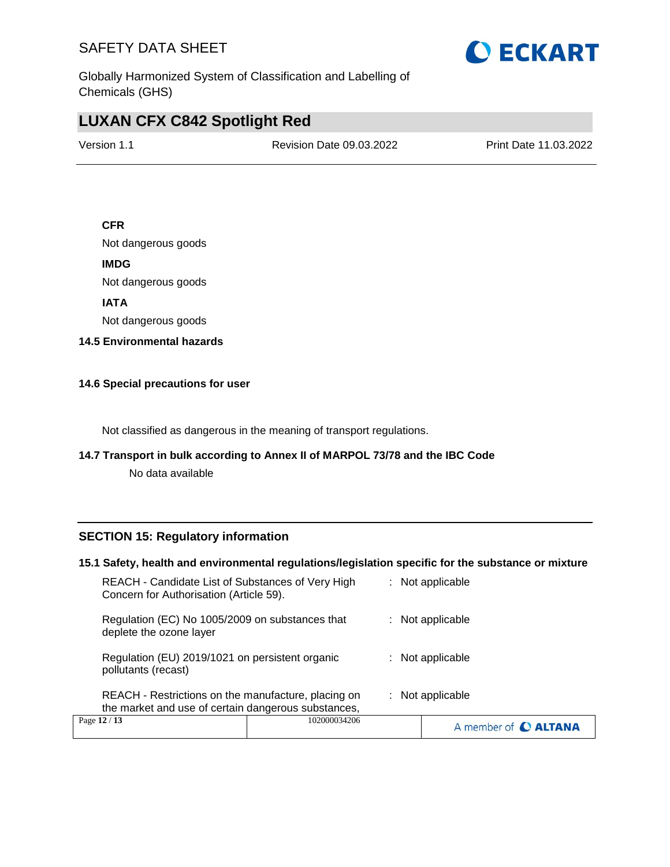

Globally Harmonized System of Classification and Labelling of Chemicals (GHS)

# **LUXAN CFX C842 Spotlight Red**

Version 1.1 Revision Date 09.03.2022 Print Date 11.03.2022

#### **CFR**

Not dangerous goods

**IMDG**

Not dangerous goods

**IATA**

Not dangerous goods

**14.5 Environmental hazards**

#### **14.6 Special precautions for user**

Not classified as dangerous in the meaning of transport regulations.

#### **14.7 Transport in bulk according to Annex II of MARPOL 73/78 and the IBC Code**

No data available

#### **SECTION 15: Regulatory information**

#### **15.1 Safety, health and environmental regulations/legislation specific for the substance or mixture**

| Regulation (EC) No 1005/2009 on substances that<br>$:$ Not applicable<br>deplete the ozone layer<br>Regulation (EU) 2019/1021 on persistent organic<br>$:$ Not applicable<br>pollutants (recast)<br>REACH - Restrictions on the manufacture, placing on<br>$:$ Not applicable<br>the market and use of certain dangerous substances, |  |
|--------------------------------------------------------------------------------------------------------------------------------------------------------------------------------------------------------------------------------------------------------------------------------------------------------------------------------------|--|
|                                                                                                                                                                                                                                                                                                                                      |  |
|                                                                                                                                                                                                                                                                                                                                      |  |
|                                                                                                                                                                                                                                                                                                                                      |  |
| REACH - Candidate List of Substances of Very High<br>$:$ Not applicable<br>Concern for Authorisation (Article 59).                                                                                                                                                                                                                   |  |